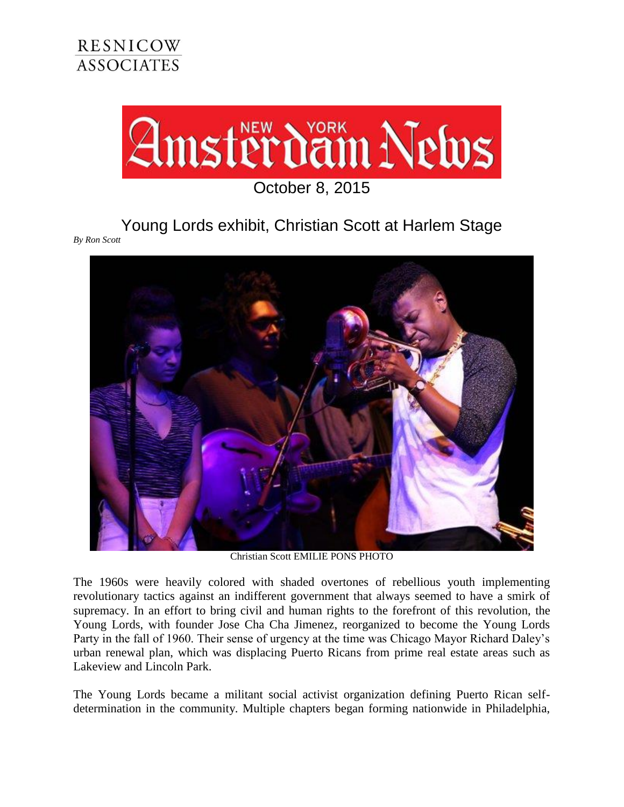

## Young Lords exhibit, Christian Scott at Harlem Stage

*By Ron Scott* 



Christian Scott EMILIE PONS PHOTO

The 1960s were heavily colored with shaded overtones of rebellious youth implementing revolutionary tactics against an indifferent government that always seemed to have a smirk of supremacy. In an effort to bring civil and human rights to the forefront of this revolution, the Young Lords, with founder Jose Cha Cha Jimenez, reorganized to become the Young Lords Party in the fall of 1960. Their sense of urgency at the time was Chicago Mayor Richard Daley's urban renewal plan, which was displacing Puerto Ricans from prime real estate areas such as Lakeview and Lincoln Park.

The Young Lords became a militant social activist organization defining Puerto Rican selfdetermination in the community. Multiple chapters began forming nationwide in Philadelphia,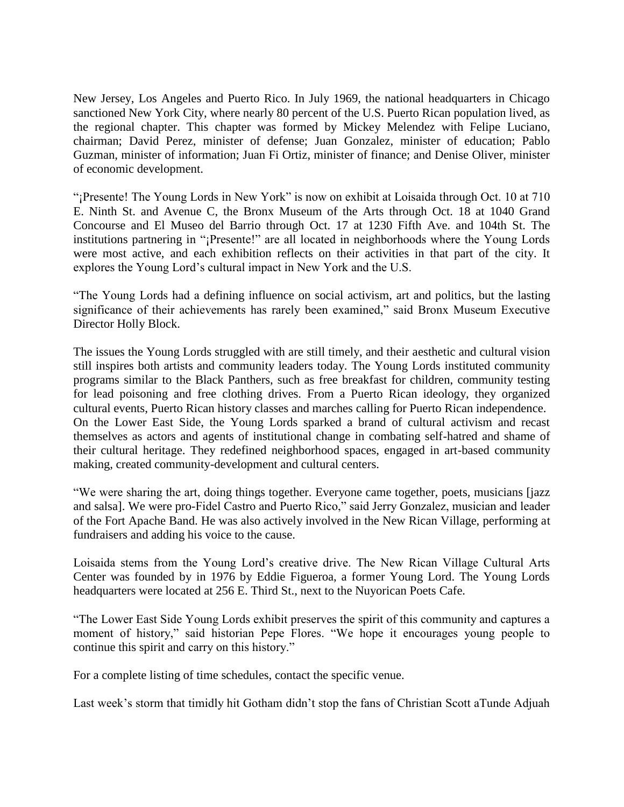New Jersey, Los Angeles and Puerto Rico. In July 1969, the national headquarters in Chicago sanctioned New York City, where nearly 80 percent of the U.S. Puerto Rican population lived, as the regional chapter. This chapter was formed by Mickey Melendez with Felipe Luciano, chairman; David Perez, minister of defense; Juan Gonzalez, minister of education; Pablo Guzman, minister of information; Juan Fi Ortiz, minister of finance; and Denise Oliver, minister of economic development.

"¡Presente! The Young Lords in New York" is now on exhibit at Loisaida through Oct. 10 at 710 E. Ninth St. and Avenue C, the Bronx Museum of the Arts through Oct. 18 at 1040 Grand Concourse and El Museo del Barrio through Oct. 17 at 1230 Fifth Ave. and 104th St. The institutions partnering in "¡Presente!" are all located in neighborhoods where the Young Lords were most active, and each exhibition reflects on their activities in that part of the city. It explores the Young Lord's cultural impact in New York and the U.S.

"The Young Lords had a defining influence on social activism, art and politics, but the lasting significance of their achievements has rarely been examined," said Bronx Museum Executive Director Holly Block.

The issues the Young Lords struggled with are still timely, and their aesthetic and cultural vision still inspires both artists and community leaders today. The Young Lords instituted community programs similar to the Black Panthers, such as free breakfast for children, community testing for lead poisoning and free clothing drives. From a Puerto Rican ideology, they organized cultural events, Puerto Rican history classes and marches calling for Puerto Rican independence. On the Lower East Side, the Young Lords sparked a brand of cultural activism and recast themselves as actors and agents of institutional change in combating self-hatred and shame of their cultural heritage. They redefined neighborhood spaces, engaged in art-based community making, created community-development and cultural centers.

"We were sharing the art, doing things together. Everyone came together, poets, musicians [jazz and salsa]. We were pro-Fidel Castro and Puerto Rico," said Jerry Gonzalez, musician and leader of the Fort Apache Band. He was also actively involved in the New Rican Village, performing at fundraisers and adding his voice to the cause.

Loisaida stems from the Young Lord's creative drive. The New Rican Village Cultural Arts Center was founded by in 1976 by Eddie Figueroa, a former Young Lord. The Young Lords headquarters were located at 256 E. Third St., next to the Nuyorican Poets Cafe.

"The Lower East Side Young Lords exhibit preserves the spirit of this community and captures a moment of history," said historian Pepe Flores. "We hope it encourages young people to continue this spirit and carry on this history."

For a complete listing of time schedules, contact the specific venue.

Last week's storm that timidly hit Gotham didn't stop the fans of Christian Scott aTunde Adjuah